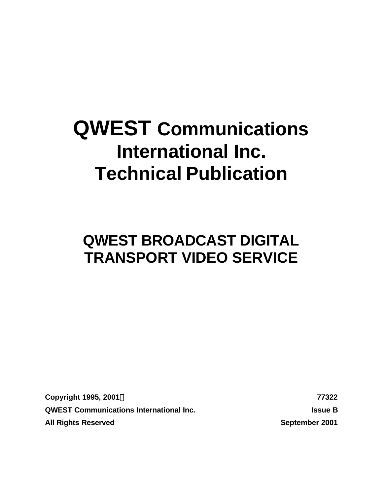# **QWEST Communications International Inc. Technical Publication**

# **QWEST BROADCAST DIGITAL TRANSPORT VIDEO SERVICE**

**Copyright 1995, 2001Ó 77322 QWEST Communications International Inc. Issue B All Rights Reserved September 2001**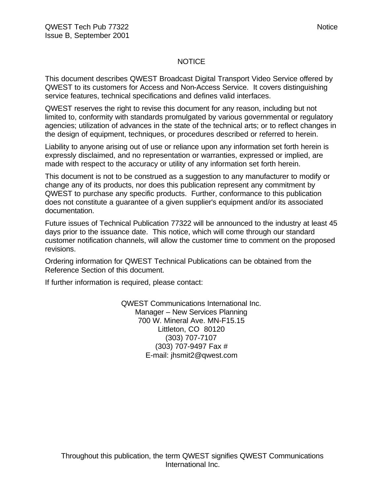#### NOTICE

This document describes QWEST Broadcast Digital Transport Video Service offered by QWEST to its customers for Access and Non-Access Service. It covers distinguishing service features, technical specifications and defines valid interfaces.

QWEST reserves the right to revise this document for any reason, including but not limited to, conformity with standards promulgated by various governmental or regulatory agencies; utilization of advances in the state of the technical arts; or to reflect changes in the design of equipment, techniques, or procedures described or referred to herein.

Liability to anyone arising out of use or reliance upon any information set forth herein is expressly disclaimed, and no representation or warranties, expressed or implied, are made with respect to the accuracy or utility of any information set forth herein.

This document is not to be construed as a suggestion to any manufacturer to modify or change any of its products, nor does this publication represent any commitment by QWEST to purchase any specific products. Further, conformance to this publication does not constitute a guarantee of a given supplier's equipment and/or its associated documentation.

Future issues of Technical Publication 77322 will be announced to the industry at least 45 days prior to the issuance date. This notice, which will come through our standard customer notification channels, will allow the customer time to comment on the proposed revisions.

Ordering information for QWEST Technical Publications can be obtained from the Reference Section of this document.

If further information is required, please contact:

QWEST Communications International Inc. Manager – New Services Planning 700 W. Mineral Ave. MN-F15.15 Littleton, CO 80120 (303) 707-7107 (303) 707-9497 Fax # E-mail: jhsmit2@qwest.com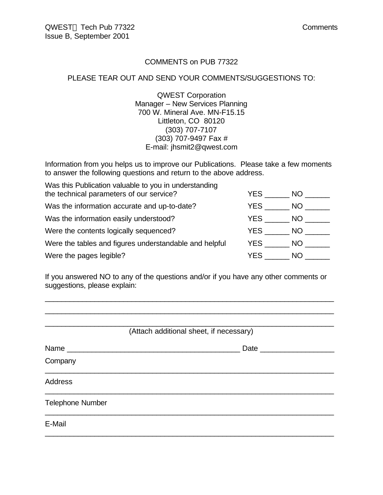#### COMMENTS on PUB 77322

#### PLEASE TEAR OUT AND SEND YOUR COMMENTS/SUGGESTIONS TO:

QWEST Corporation Manager – New Services Planning 700 W. Mineral Ave. MN-F15.15 Littleton, CO 80120 (303) 707-7107 (303) 707-9497 Fax # E-mail: jhsmit2@qwest.com

Information from you helps us to improve our Publications. Please take a few moments to answer the following questions and return to the above address.

| Was this Publication valuable to you in understanding  |      |      |
|--------------------------------------------------------|------|------|
| the technical parameters of our service?               | YES. | NO.  |
| Was the information accurate and up-to-date?           | YES. | NO.  |
| Was the information easily understood?                 | YES. | NO.  |
| Were the contents logically sequenced?                 | YES  | NO . |
| Were the tables and figures understandable and helpful | YES  | NO.  |
| Were the pages legible?                                | YES  | NO.  |

If you answered NO to any of the questions and/or if you have any other comments or suggestions, please explain:

\_\_\_\_\_\_\_\_\_\_\_\_\_\_\_\_\_\_\_\_\_\_\_\_\_\_\_\_\_\_\_\_\_\_\_\_\_\_\_\_\_\_\_\_\_\_\_\_\_\_\_\_\_\_\_\_\_\_\_\_\_\_\_\_\_\_\_\_\_\_ \_\_\_\_\_\_\_\_\_\_\_\_\_\_\_\_\_\_\_\_\_\_\_\_\_\_\_\_\_\_\_\_\_\_\_\_\_\_\_\_\_\_\_\_\_\_\_\_\_\_\_\_\_\_\_\_\_\_\_\_\_\_\_\_\_\_\_\_\_\_

|                         | (Attach additional sheet, if necessary) |
|-------------------------|-----------------------------------------|
|                         | Date _____________                      |
| Company                 |                                         |
| <b>Address</b>          |                                         |
| <b>Telephone Number</b> |                                         |
| E-Mail                  |                                         |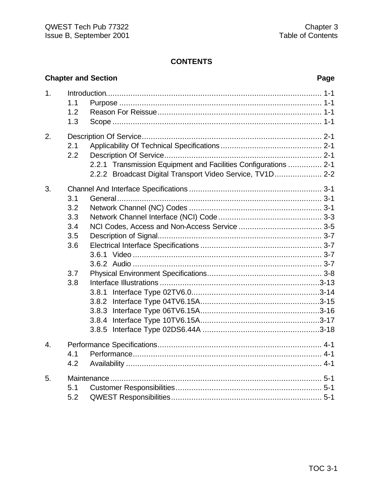# **Chapter and Section**

# Page

| 1.               | 1.1 |                                                                 |  |
|------------------|-----|-----------------------------------------------------------------|--|
|                  | 1.2 |                                                                 |  |
|                  | 1.3 |                                                                 |  |
| 2.               |     |                                                                 |  |
|                  | 2.1 |                                                                 |  |
|                  | 2.2 |                                                                 |  |
|                  |     | 2.2.1 Transmission Equipment and Facilities Configurations  2-1 |  |
|                  |     | 2.2.2 Broadcast Digital Transport Video Service, TV1D 2-2       |  |
| 3.               |     |                                                                 |  |
|                  | 3.1 |                                                                 |  |
|                  | 3.2 |                                                                 |  |
|                  | 3.3 |                                                                 |  |
|                  | 3.4 |                                                                 |  |
|                  | 3.5 |                                                                 |  |
|                  | 3.6 |                                                                 |  |
|                  |     |                                                                 |  |
|                  |     |                                                                 |  |
|                  | 3.7 |                                                                 |  |
|                  | 3.8 |                                                                 |  |
|                  |     | 3.8.1                                                           |  |
|                  |     | 3.8.2                                                           |  |
|                  |     |                                                                 |  |
|                  |     | 3.8.4                                                           |  |
|                  |     | 3.8.5                                                           |  |
| $\overline{4}$ . |     |                                                                 |  |
|                  | 4.1 |                                                                 |  |
|                  | 4.2 |                                                                 |  |
| 5.               |     |                                                                 |  |
|                  | 5.1 |                                                                 |  |
|                  | 5.2 |                                                                 |  |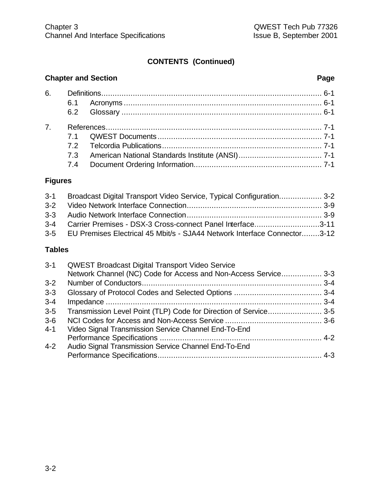# **CONTENTS (Continued)**

# **Chapter and Section Page**

| 7 <sup>1</sup> |  |  |
|----------------|--|--|
|                |  |  |
|                |  |  |
|                |  |  |
|                |  |  |
|                |  |  |

# **Figures**

| 3-1 Broadcast Digital Transport Video Service, Typical Configuration 3-2     |  |
|------------------------------------------------------------------------------|--|
|                                                                              |  |
|                                                                              |  |
| 3-4 Carrier Premises - DSX-3 Cross-connect Panel Interface3-11               |  |
| 3-5 EU Premises Electrical 45 Mbit/s - SJA44 Network Interface Connector3-12 |  |

# **Tables**

| $3 - 1$ | <b>QWEST Broadcast Digital Transport Video Service</b>          |  |
|---------|-----------------------------------------------------------------|--|
|         | Network Channel (NC) Code for Access and Non-Access Service 3-3 |  |
| $3-2$   |                                                                 |  |
| $3 - 3$ |                                                                 |  |
| $3 - 4$ |                                                                 |  |
| $3 - 5$ |                                                                 |  |
| $3-6$   |                                                                 |  |
| $4 - 1$ | Video Signal Transmission Service Channel End-To-End            |  |
|         |                                                                 |  |
| $4-2$   | Audio Signal Transmission Service Channel End-To-End            |  |
|         |                                                                 |  |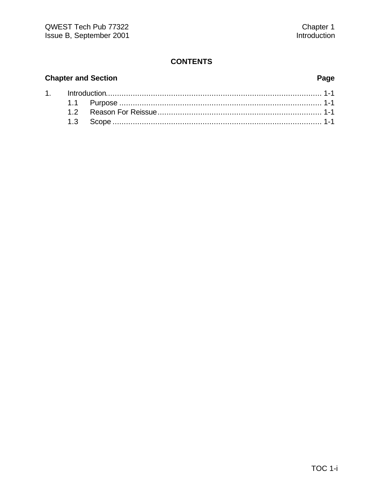# **Chapter and Section**

# Page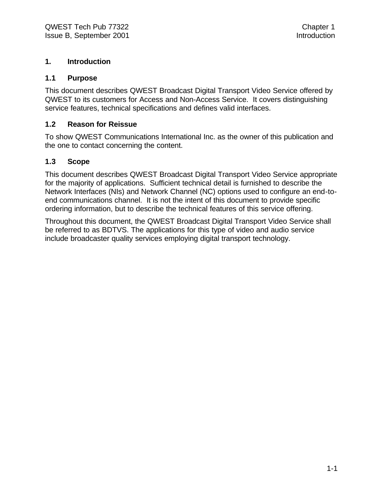#### **1. Introduction**

#### **1.1 Purpose**

This document describes QWEST Broadcast Digital Transport Video Service offered by QWEST to its customers for Access and Non-Access Service. It covers distinguishing service features, technical specifications and defines valid interfaces.

#### **1.2 Reason for Reissue**

To show QWEST Communications International Inc. as the owner of this publication and the one to contact concerning the content.

#### **1.3 Scope**

This document describes QWEST Broadcast Digital Transport Video Service appropriate for the majority of applications. Sufficient technical detail is furnished to describe the Network Interfaces (NIs) and Network Channel (NC) options used to configure an end-toend communications channel. It is not the intent of this document to provide specific ordering information, but to describe the technical features of this service offering.

Throughout this document, the QWEST Broadcast Digital Transport Video Service shall be referred to as BDTVS. The applications for this type of video and audio service include broadcaster quality services employing digital transport technology.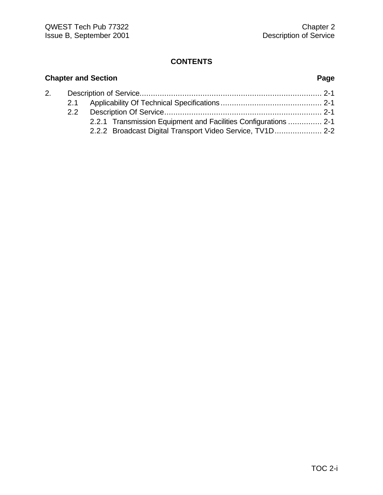# **Chapter and Section Page** 2. Description of Service................................................................................. 2-1 2.1 Applicability Of Technical Specifications ............................................. 2-1 2.2 Description Of Service...................................................................... 2-1 2.2.1 Transmission Equipment and Facilities Configurations ............... 2-1 2.2.2 Broadcast Digital Transport Video Service, TV1D..................... 2-2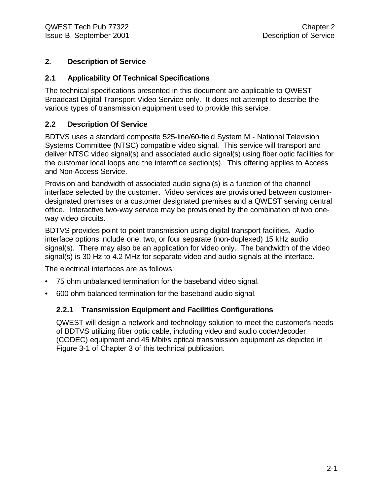#### **2. Description of Service**

#### **2.1 Applicability Of Technical Specifications**

The technical specifications presented in this document are applicable to QWEST Broadcast Digital Transport Video Service only. It does not attempt to describe the various types of transmission equipment used to provide this service.

#### **2.2 Description Of Service**

BDTVS uses a standard composite 525-line/60-field System M - National Television Systems Committee (NTSC) compatible video signal. This service will transport and deliver NTSC video signal(s) and associated audio signal(s) using fiber optic facilities for the customer local loops and the interoffice section(s). This offering applies to Access and Non-Access Service.

Provision and bandwidth of associated audio signal(s) is a function of the channel interface selected by the customer. Video services are provisioned between customerdesignated premises or a customer designated premises and a QWEST serving central office. Interactive two-way service may be provisioned by the combination of two oneway video circuits.

BDTVS provides point-to-point transmission using digital transport facilities. Audio interface options include one, two, or four separate (non-duplexed) 15 kHz audio signal(s). There may also be an application for video only. The bandwidth of the video signal(s) is 30 Hz to 4.2 MHz for separate video and audio signals at the interface.

The electrical interfaces are as follows:

- 75 ohm unbalanced termination for the baseband video signal.
- 600 ohm balanced termination for the baseband audio signal.

#### **2.2.1 Transmission Equipment and Facilities Configurations**

QWEST will design a network and technology solution to meet the customer's needs of BDTVS utilizing fiber optic cable, including video and audio coder/decoder (CODEC) equipment and 45 Mbit/s optical transmission equipment as depicted in Figure 3-1 of Chapter 3 of this technical publication.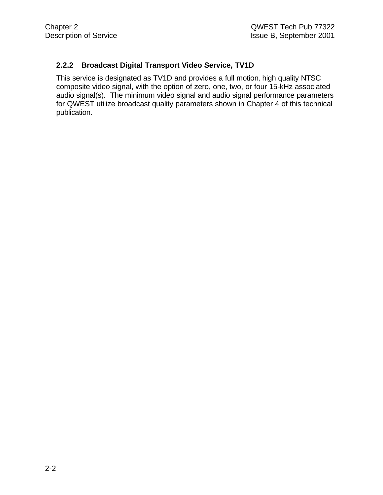#### **2.2.2 Broadcast Digital Transport Video Service, TV1D**

This service is designated as TV1D and provides a full motion, high quality NTSC composite video signal, with the option of zero, one, two, or four 15-kHz associated audio signal(s). The minimum video signal and audio signal performance parameters for QWEST utilize broadcast quality parameters shown in Chapter 4 of this technical publication.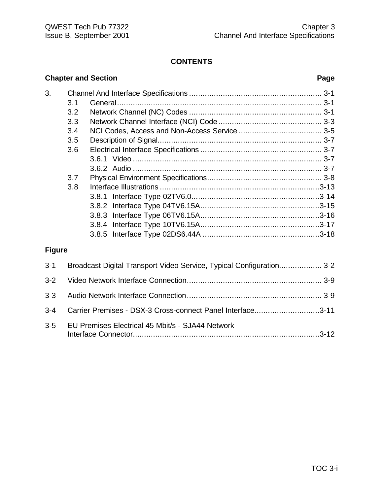# **Chapter and Section Page** 3. Channel And Interface Specifications ........................................................... 3-1 3.1 General........................................................................................... 3-1 3.2 Network Channel (NC) Codes ........................................................... 3-1 3.3 Network Channel Interface (NCI) Code .............................................. 3-3 3.4 NCI Codes, Access and Non-Access Service ..................................... 3-5 3.5 Description of Signal......................................................................... 3-7 3.6 Electrical Interface Specifications ...................................................... 3-7 3.6.1 Video .................................................................................... 3-7 3.6.2 Audio .................................................................................... 3-7 3.7 Physical Environment Specifications................................................... 3-8 3.8 Interface Illustrations .......................................................................3-13 3.8.1 Interface Type 02TV6.0.........................................................3-14 3.8.2 Interface Type 04TV6.15A.....................................................3-15 3.8.3 Interface Type 06TV6.15A.....................................................3-16 3.8.4 Interface Type 10TV6.15A.....................................................3-17 3.8.5 Interface Type 02DS6.44A ....................................................3-18 **Figure**

| $3 - 1$ | Broadcast Digital Transport Video Service, Typical Configuration 3-2 |  |
|---------|----------------------------------------------------------------------|--|
|         |                                                                      |  |
|         |                                                                      |  |
|         | 3-4 Carrier Premises - DSX-3 Cross-connect Panel Interface3-11       |  |
| $3-5$   | EU Premises Electrical 45 Mbit/s - SJA44 Network                     |  |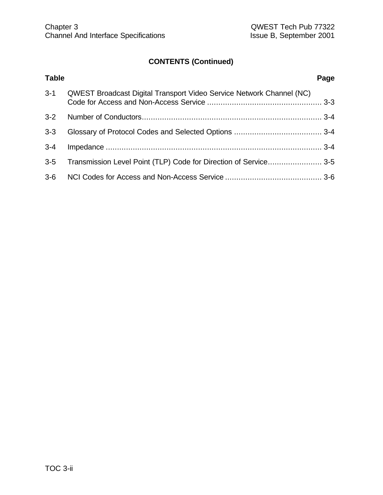# **CONTENTS (Continued)**

| <b>Table</b> |                                                                             | Page |
|--------------|-----------------------------------------------------------------------------|------|
| $3 - 1$      | <b>QWEST Broadcast Digital Transport Video Service Network Channel (NC)</b> |      |
| $3 - 2$      |                                                                             |      |
| $3 - 3$      |                                                                             |      |
| $3 - 4$      |                                                                             |      |
| $3 - 5$      |                                                                             |      |
| $3-6$        |                                                                             |      |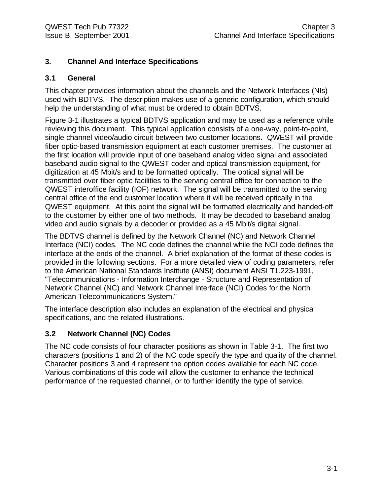#### **3. Channel And Interface Specifications**

#### **3.1 General**

This chapter provides information about the channels and the Network Interfaces (NIs) used with BDTVS. The description makes use of a generic configuration, which should help the understanding of what must be ordered to obtain BDTVS.

Figure 3-1 illustrates a typical BDTVS application and may be used as a reference while reviewing this document. This typical application consists of a one-way, point-to-point, single channel video/audio circuit between two customer locations. QWEST will provide fiber optic-based transmission equipment at each customer premises. The customer at the first location will provide input of one baseband analog video signal and associated baseband audio signal to the QWEST coder and optical transmission equipment, for digitization at 45 Mbit/s and to be formatted optically. The optical signal will be transmitted over fiber optic facilities to the serving central office for connection to the QWEST interoffice facility (IOF) network. The signal will be transmitted to the serving central office of the end customer location where it will be received optically in the QWEST equipment. At this point the signal will be formatted electrically and handed-off to the customer by either one of two methods. It may be decoded to baseband analog video and audio signals by a decoder or provided as a 45 Mbit/s digital signal.

The BDTVS channel is defined by the Network Channel (NC) and Network Channel Interface (NCI) codes. The NC code defines the channel while the NCI code defines the interface at the ends of the channel. A brief explanation of the format of these codes is provided in the following sections. For a more detailed view of coding parameters, refer to the American National Standards Institute (ANSI) document ANSI T1.223-1991, "Telecommunications - Information Interchange - Structure and Representation of Network Channel (NC) and Network Channel Interface (NCI) Codes for the North American Telecommunications System."

The interface description also includes an explanation of the electrical and physical specifications, and the related illustrations.

#### **3.2 Network Channel (NC) Codes**

The NC code consists of four character positions as shown in Table 3-1. The first two characters (positions 1 and 2) of the NC code specify the type and quality of the channel. Character positions 3 and 4 represent the option codes available for each NC code. Various combinations of this code will allow the customer to enhance the technical performance of the requested channel, or to further identify the type of service.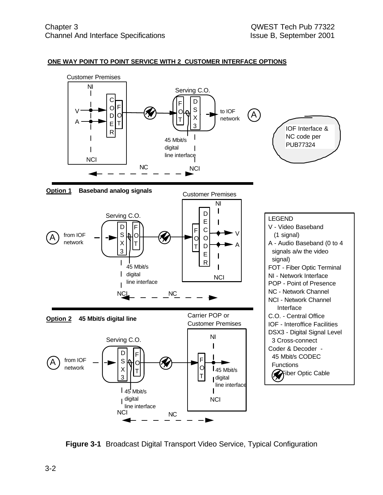



**Figure 3-1** Broadcast Digital Transport Video Service, Typical Configuration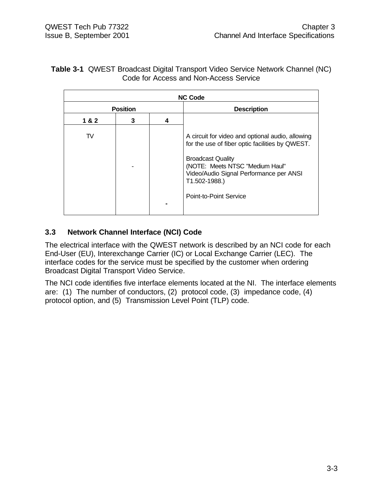#### **Table 3-1** QWEST Broadcast Digital Transport Video Service Network Channel (NC) Code for Access and Non-Access Service

| <b>NC Code</b> |                 |   |                                                                                                                                                                                                                                                          |
|----------------|-----------------|---|----------------------------------------------------------------------------------------------------------------------------------------------------------------------------------------------------------------------------------------------------------|
|                | <b>Position</b> |   | <b>Description</b>                                                                                                                                                                                                                                       |
| 1&2            | 3               | 4 |                                                                                                                                                                                                                                                          |
| TV             |                 |   | A circuit for video and optional audio, allowing<br>for the use of fiber optic facilities by QWEST.<br><b>Broadcast Quality</b><br>(NOTE: Meets NTSC "Medium Haul"<br>Video/Audio Signal Performance per ANSI<br>T1.502-1988.)<br>Point-to-Point Service |

### **3.3 Network Channel Interface (NCI) Code**

The electrical interface with the QWEST network is described by an NCI code for each End-User (EU), Interexchange Carrier (IC) or Local Exchange Carrier (LEC). The interface codes for the service must be specified by the customer when ordering Broadcast Digital Transport Video Service.

The NCI code identifies five interface elements located at the NI. The interface elements are: (1) The number of conductors, (2) protocol code, (3) impedance code, (4) protocol option, and (5) Transmission Level Point (TLP) code.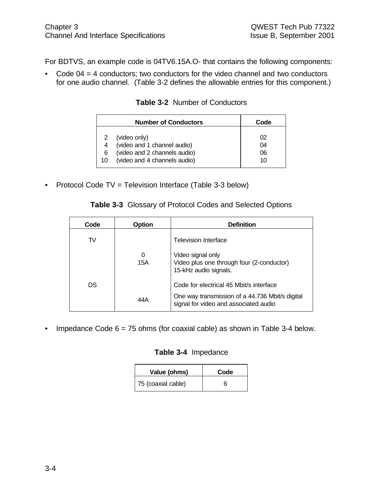For BDTVS, an example code is 04TV6.15A.O- that contains the following components:

• Code 04 = 4 conductors; two conductors for the video channel and two conductors for one audio channel. (Table 3-2 defines the allowable entries for this component.)

|        | <b>Number of Conductors</b>                                 | Code     |
|--------|-------------------------------------------------------------|----------|
| 2      | (video only)                                                | 02       |
| 4<br>6 | (video and 1 channel audio)<br>(video and 2 channels audio) | 04<br>06 |
| 10     | (video and 4 channels audio)                                | 10       |

#### **Table 3-2** Number of Conductors

• Protocol Code TV = Television Interface (Table 3-3 below)

#### **Table 3-3** Glossary of Protocol Codes and Selected Options

| Code | <b>Option</b> | <b>Definition</b>                                                                        |
|------|---------------|------------------------------------------------------------------------------------------|
| TV   |               | <b>Television Interface</b>                                                              |
|      | 0<br>15A      | Video signal only<br>Video plus one through four (2-conductor)<br>15-kHz audio signals.  |
| DS   |               | Code for electrical 45 Mbit/s interface                                                  |
|      | 44 A          | One way transmission of a 44.736 Mbit/s digital<br>signal for video and associated audio |

• Impedance Code  $6 = 75$  ohms (for coaxial cable) as shown in Table 3-4 below.

#### **Table 3-4** Impedance

| Value (ohms)       | Code |
|--------------------|------|
| 75 (coaxial cable) | ห    |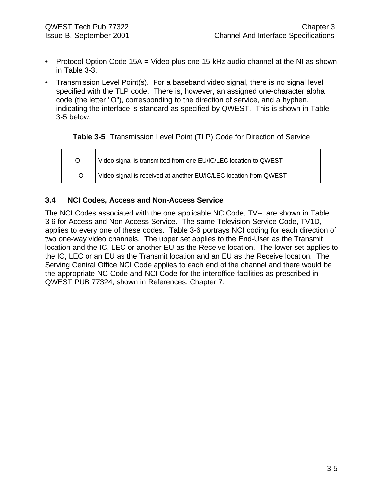- Protocol Option Code 15A = Video plus one 15-kHz audio channel at the NI as shown in Table 3-3.
- Transmission Level Point(s). For a baseband video signal, there is no signal level specified with the TLP code. There is, however, an assigned one-character alpha code (the letter "O"), corresponding to the direction of service, and a hyphen, indicating the interface is standard as specified by QWEST. This is shown in Table 3-5 below.

**Table 3-5** Transmission Level Point (TLP) Code for Direction of Service

O– –O Video signal is transmitted from one EU/IC/LEC location to QWEST Video signal is received at another EU/IC/LEC location from QWEST

#### **3.4 NCI Codes, Access and Non-Access Service**

The NCI Codes associated with the one applicable NC Code, TV--, are shown in Table 3-6 for Access and Non-Access Service. The same Television Service Code, TV1D, applies to every one of these codes. Table 3-6 portrays NCI coding for each direction of two one-way video channels. The upper set applies to the End-User as the Transmit location and the IC, LEC or another EU as the Receive location. The lower set applies to the IC, LEC or an EU as the Transmit location and an EU as the Receive location. The Serving Central Office NCI Code applies to each end of the channel and there would be the appropriate NC Code and NCI Code for the interoffice facilities as prescribed in QWEST PUB 77324, shown in References, Chapter 7.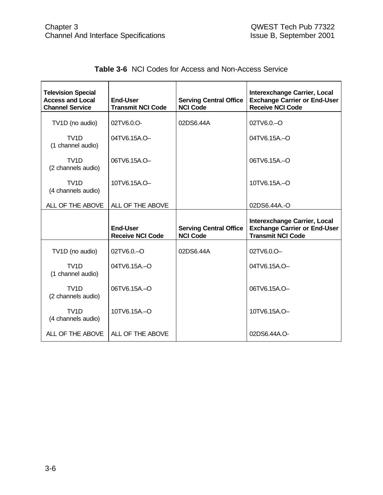| <b>Television Special</b><br><b>Access and Local</b><br><b>Channel Service</b> | <b>End-User</b><br><b>Transmit NCI Code</b> | <b>Serving Central Office</b><br><b>NCI Code</b> | <b>Interexchange Carrier, Local</b><br><b>Exchange Carrier or End-User</b><br><b>Receive NCI Code</b>  |
|--------------------------------------------------------------------------------|---------------------------------------------|--------------------------------------------------|--------------------------------------------------------------------------------------------------------|
| TV1D (no audio)                                                                | 02TV6.0.O-                                  | 02DS6.44A                                        | 02TV6.0 - O                                                                                            |
| TV <sub>1</sub> D<br>(1 channel audio)                                         | 04TV6.15A.O-                                |                                                  | $04$ TV6.15A $-$ O                                                                                     |
| TV <sub>1</sub> D<br>(2 channels audio)                                        | 06TV6.15A.O-                                |                                                  | 06TV6.15A .- O                                                                                         |
| TV <sub>1</sub> D<br>(4 channels audio)                                        | 10TV6.15A.O-                                |                                                  | 10TV6.15A-O                                                                                            |
| ALL OF THE ABOVE                                                               | ALL OF THE ABOVE                            |                                                  | 02DS6.44A.-O                                                                                           |
|                                                                                |                                             |                                                  |                                                                                                        |
|                                                                                | <b>End-User</b><br><b>Receive NCI Code</b>  | <b>Serving Central Office</b><br><b>NCI Code</b> | <b>Interexchange Carrier, Local</b><br><b>Exchange Carrier or End-User</b><br><b>Transmit NCI Code</b> |
| TV1D (no audio)                                                                | $02$ TV6.0. $-$ O                           | 02DS6.44A                                        | 02TV6.0.O-                                                                                             |
| TV <sub>1</sub> D<br>(1 channel audio)                                         | 04TV6.15A-O                                 |                                                  | 04TV6.15A.O-                                                                                           |
| TV1D<br>(2 channels audio)                                                     | 06TV6.15A-O                                 |                                                  | 06TV6.15A.O-                                                                                           |
| TV <sub>1</sub> D<br>(4 channels audio)                                        | $10$ TV6.15A $-$ O                          |                                                  | 10TV6.15A.O-                                                                                           |

|  |  |  | <b>Table 3-6 NCI Codes for Access and Non-Access Service</b> |  |
|--|--|--|--------------------------------------------------------------|--|
|--|--|--|--------------------------------------------------------------|--|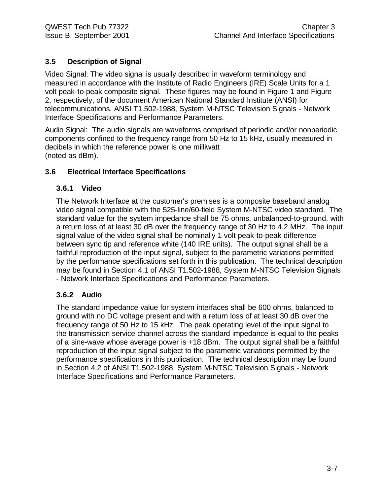### **3.5 Description of Signal**

Video Signal: The video signal is usually described in waveform terminology and measured in accordance with the Institute of Radio Engineers (IRE) Scale Units for a 1 volt peak-to-peak composite signal. These figures may be found in Figure 1 and Figure 2, respectively, of the document American National Standard Institute (ANSI) for telecommunications, ANSI T1.502-1988, System M-NTSC Television Signals - Network Interface Specifications and Performance Parameters.

Audio Signal: The audio signals are waveforms comprised of periodic and/or nonperiodic components confined to the frequency range from 50 Hz to 15 kHz, usually measured in decibels in which the reference power is one milliwatt (noted as dBm).

#### **3.6 Electrical Interface Specifications**

#### **3.6.1 Video**

The Network Interface at the customer's premises is a composite baseband analog video signal compatible with the 525-line/60-field System M-NTSC video standard. The standard value for the system impedance shall be 75 ohms, unbalanced-to-ground, with a return loss of at least 30 dB over the frequency range of 30 Hz to 4.2 MHz. The input signal value of the video signal shall be nominally 1 volt peak-to-peak difference between sync tip and reference white (140 IRE units). The output signal shall be a faithful reproduction of the input signal, subject to the parametric variations permitted by the performance specifications set forth in this publication. The technical description may be found in Section 4.1 of ANSI T1.502-1988, System M-NTSC Television Signals - Network Interface Specifications and Performance Parameters.

#### **3.6.2 Audio**

The standard impedance value for system interfaces shall be 600 ohms, balanced to ground with no DC voltage present and with a return loss of at least 30 dB over the frequency range of 50 Hz to 15 kHz. The peak operating level of the input signal to the transmission service channel across the standard impedance is equal to the peaks of a sine-wave whose average power is +18 dBm. The output signal shall be a faithful reproduction of the input signal subject to the parametric variations permitted by the performance specifications in this publication. The technical description may be found in Section 4.2 of ANSI T1.502-1988, System M-NTSC Television Signals - Network Interface Specifications and Performance Parameters.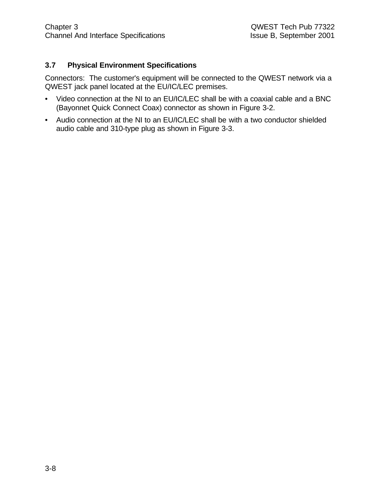#### **3.7 Physical Environment Specifications**

Connectors: The customer's equipment will be connected to the QWEST network via a QWEST jack panel located at the EU/IC/LEC premises.

- Video connection at the NI to an EU/IC/LEC shall be with a coaxial cable and a BNC (Bayonnet Quick Connect Coax) connector as shown in Figure 3-2.
- Audio connection at the NI to an EU/IC/LEC shall be with a two conductor shielded audio cable and 310-type plug as shown in Figure 3-3.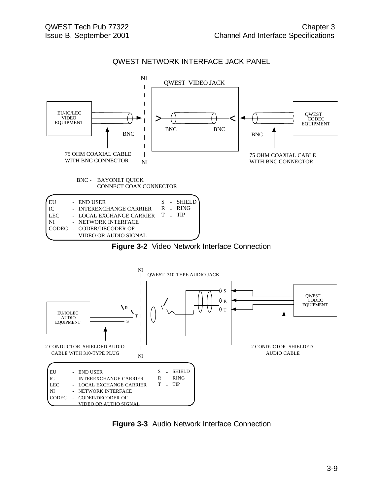#### QWEST NETWORK INTERFACE JACK PANEL



**Figure 3-3** Audio Network Interface Connection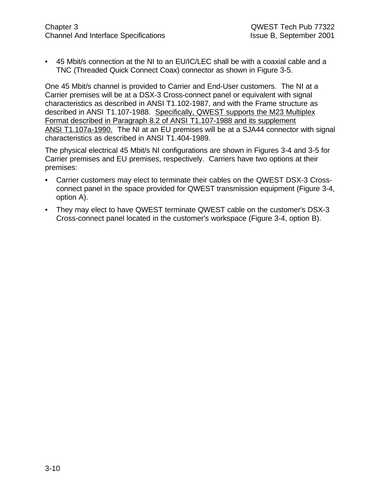• 45 Mbit/s connection at the NI to an EU/IC/LEC shall be with a coaxial cable and a TNC (Threaded Quick Connect Coax) connector as shown in Figure 3-5.

One 45 Mbit/s channel is provided to Carrier and End-User customers. The NI at a Carrier premises will be at a DSX-3 Cross-connect panel or equivalent with signal characteristics as described in ANSI T1.102-1987, and with the Frame structure as described in ANSI T1.107-1988. Specifically, QWEST supports the M23 Multiplex Format described in Paragraph 8.2 of ANSI T1.107-1988 and its supplement ANSI T1.107a-1990. The NI at an EU premises will be at a SJA44 connector with signal characteristics as described in ANSI T1.404-1989.

The physical electrical 45 Mbit/s NI configurations are shown in Figures 3-4 and 3-5 for Carrier premises and EU premises, respectively. Carriers have two options at their premises:

- Carrier customers may elect to terminate their cables on the QWEST DSX-3 Crossconnect panel in the space provided for QWEST transmission equipment (Figure 3-4, option A).
- They may elect to have QWEST terminate QWEST cable on the customer's DSX-3 Cross-connect panel located in the customer's workspace (Figure 3-4, option B).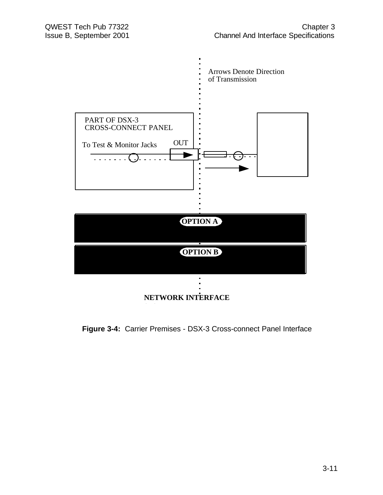

#### **Figure 3-4:** Carrier Premises - DSX-3 Cross-connect Panel Interface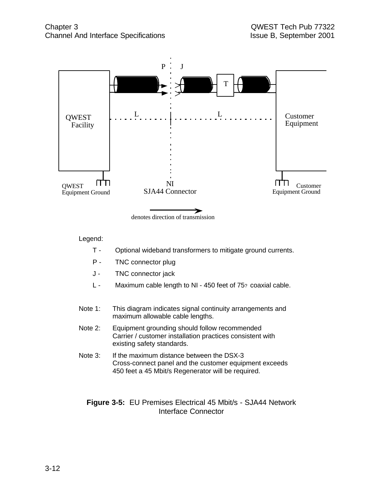

Legend:

- T Optional wideband transformers to mitigate ground currents.
- P TNC connector plug
- J TNC connector jack
- L Maximum cable length to NI 450 feet of 75? coaxial cable.
- Note 1: This diagram indicates signal continuity arrangements and maximum allowable cable lengths.
- Note 2: Equipment grounding should follow recommended Carrier / customer installation practices consistent with existing safety standards.
- Note 3: If the maximum distance between the DSX-3 Cross-connect panel and the customer equipment exceeds 450 feet a 45 Mbit/s Regenerator will be required.

#### **Figure 3-5:** EU Premises Electrical 45 Mbit/s - SJA44 Network Interface Connector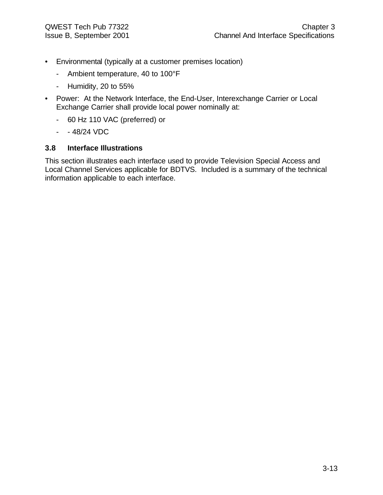- Environmental (typically at a customer premises location)
	- Ambient temperature, 40 to 100°F
	- Humidity, 20 to 55%
- Power: At the Network Interface, the End-User, Interexchange Carrier or Local Exchange Carrier shall provide local power nominally at:
	- 60 Hz 110 VAC (preferred) or
	- $48/24$  VDC

#### **3.8 Interface Illustrations**

This section illustrates each interface used to provide Television Special Access and Local Channel Services applicable for BDTVS. Included is a summary of the technical information applicable to each interface.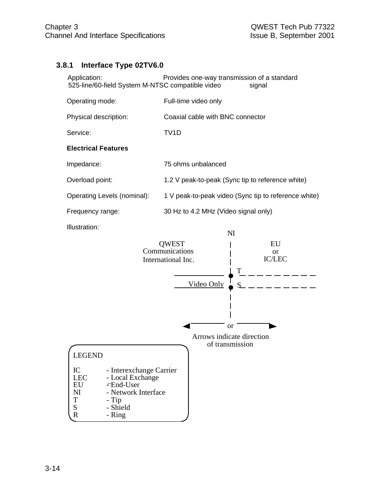#### **3.8.1 Interface Type 02TV6.0**

| Application:                                     | Provides one-way transmission of a standard |
|--------------------------------------------------|---------------------------------------------|
| 525-line/60-field System M-NTSC compatible video | signal                                      |

| Operating mode:             | Full-time video only                                 |
|-----------------------------|------------------------------------------------------|
| Physical description:       | Coaxial cable with BNC connector                     |
| Service:                    | TV1D                                                 |
| <b>Electrical Features</b>  |                                                      |
| Impedance:                  | 75 ohms unbalanced                                   |
| Overload point:             | 1.2 V peak-to-peak (Sync tip to reference white)     |
| Operating Levels (nominal): | 1 V peak-to-peak video (Sync tip to reference white) |
| Frequency range:            | 30 Hz to 4.2 MHz (Video signal only)                 |
| Illustration:               | NI                                                   |

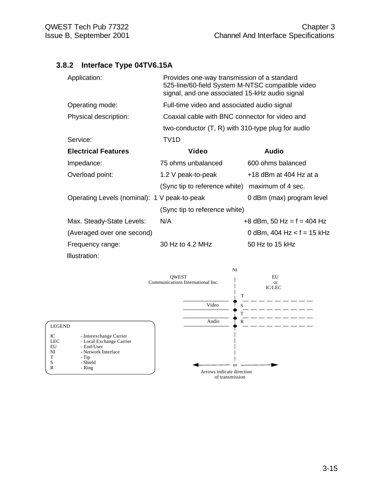LEGEND

EU - End-User<br>NI - Network I

- Ring

T - Tip S - Shield

#### **3.8.2 Interface Type 04TV6.15A**

| Application:                                 | Provides one-way transmission of a standard<br>525-line/60-field System M-NTSC compatible video<br>signal, and one associated 15-kHz audio signal |                              |  |
|----------------------------------------------|---------------------------------------------------------------------------------------------------------------------------------------------------|------------------------------|--|
| Operating mode:                              | Full-time video and associated audio signal                                                                                                       |                              |  |
| Physical description:                        | Coaxial cable with BNC connector for video and                                                                                                    |                              |  |
|                                              | two-conductor $(T, R)$ with 310-type plug for audio                                                                                               |                              |  |
| Service:                                     | TV <sub>1</sub> D                                                                                                                                 |                              |  |
| <b>Electrical Features</b>                   | Video                                                                                                                                             | <b>Audio</b>                 |  |
| Impedance:                                   | 75 ohms unbalanced                                                                                                                                | 600 ohms balanced            |  |
| Overload point:                              | 1.2 V peak-to-peak                                                                                                                                | +18 dBm at 404 Hz at a       |  |
|                                              | (Sync tip to reference white)                                                                                                                     | maximum of 4 sec.            |  |
| Operating Levels (nominal): 1 V peak-to-peak |                                                                                                                                                   | 0 dBm (max) program level    |  |
|                                              | (Sync tip to reference white)                                                                                                                     |                              |  |
| Max. Steady-State Levels:                    | N/A                                                                                                                                               | $+8$ dBm, 50 Hz = f = 404 Hz |  |
| (Averaged over one second)                   |                                                                                                                                                   | 0 dBm, 404 Hz < $f = 15$ kHz |  |
| Frequency range:                             | 30 Hz to 4.2 MHz                                                                                                                                  | 50 Hz to 15 kHz              |  |
| Illustration:                                |                                                                                                                                                   |                              |  |

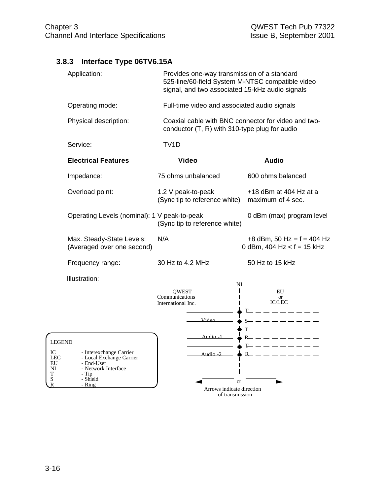# **3.8.3 Interface Type 06TV6.15A**

|                                        | Application:                                                                                                  | Provides one-way transmission of a standard<br>525-line/60-field System M-NTSC compatible video<br>signal, and two associated 15-kHz audio signals |                                                              |
|----------------------------------------|---------------------------------------------------------------------------------------------------------------|----------------------------------------------------------------------------------------------------------------------------------------------------|--------------------------------------------------------------|
|                                        | Operating mode:                                                                                               | Full-time video and associated audio signals                                                                                                       |                                                              |
|                                        | Physical description:                                                                                         | Coaxial cable with BNC connector for video and two-<br>conductor (T, R) with 310-type plug for audio                                               |                                                              |
|                                        | Service:                                                                                                      | TV <sub>1</sub> D                                                                                                                                  |                                                              |
|                                        | <b>Electrical Features</b>                                                                                    | <b>Video</b>                                                                                                                                       | <b>Audio</b>                                                 |
|                                        | Impedance:                                                                                                    | 75 ohms unbalanced                                                                                                                                 | 600 ohms balanced                                            |
|                                        | Overload point:                                                                                               | 1.2 V peak-to-peak<br>(Sync tip to reference white)                                                                                                | $+18$ dBm at 404 Hz at a<br>maximum of 4 sec.                |
|                                        | Operating Levels (nominal): 1 V peak-to-peak                                                                  | (Sync tip to reference white)                                                                                                                      | 0 dBm (max) program level                                    |
|                                        | Max. Steady-State Levels:<br>(Averaged over one second)                                                       | N/A                                                                                                                                                | +8 dBm, 50 Hz = $f = 404$ Hz<br>0 dBm, 404 Hz < $f = 15$ kHz |
|                                        | Frequency range:                                                                                              | 30 Hz to 4.2 MHz                                                                                                                                   | 50 Hz to 15 kHz                                              |
|                                        | Illustration:                                                                                                 | NI<br><b>OWEST</b>                                                                                                                                 | EU                                                           |
|                                        |                                                                                                               | Communications<br>International Inc.                                                                                                               | <b>or</b><br><b>IC/LEC</b>                                   |
|                                        |                                                                                                               | Video—                                                                                                                                             | $S-$                                                         |
|                                        |                                                                                                               |                                                                                                                                                    | --------                                                     |
| <b>LEGEND</b>                          |                                                                                                               | Audio - 1                                                                                                                                          | -------<br>Έ                                                 |
| IC<br><b>LEC</b><br>EU<br>NI<br>T<br>S | - Interexchange Carrier<br>- Local Exchange Carrier<br>- End-User<br>- Network Interface<br>- Tip<br>- Shield | Audio 2                                                                                                                                            | $R_{-}$                                                      |

or Arrows indicate direction of transmission

- Ring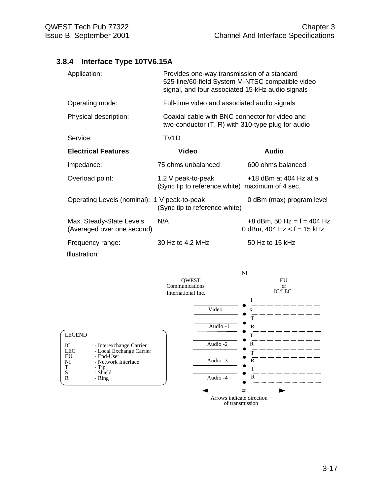# **3.8.4 Interface Type 10TV6.15A**

| Application:                                            | Provides one-way transmission of a standard<br>525-line/60-field System M-NTSC compatible video<br>signal, and four associated 15-kHz audio signals |                                                                                                       |  |  |
|---------------------------------------------------------|-----------------------------------------------------------------------------------------------------------------------------------------------------|-------------------------------------------------------------------------------------------------------|--|--|
| Operating mode:                                         |                                                                                                                                                     | Full-time video and associated audio signals                                                          |  |  |
| Physical description:                                   |                                                                                                                                                     | Coaxial cable with BNC connector for video and<br>two-conductor $(T, R)$ with 310-type plug for audio |  |  |
| Service:                                                | TV <sub>1</sub> D                                                                                                                                   |                                                                                                       |  |  |
| <b>Electrical Features</b>                              | <b>Video</b>                                                                                                                                        | <b>Audio</b>                                                                                          |  |  |
| Impedance:                                              | 75 ohms unbalanced                                                                                                                                  | 600 ohms balanced                                                                                     |  |  |
| Overload point:                                         | 1.2 V peak-to-peak<br>(Sync tip to reference white) maximum of 4 sec.                                                                               | $+18$ dBm at 404 Hz at a                                                                              |  |  |
| Operating Levels (nominal): 1 V peak-to-peak            | (Sync tip to reference white)                                                                                                                       | 0 dBm (max) program level                                                                             |  |  |
| Max. Steady-State Levels:<br>(Averaged over one second) | N/A                                                                                                                                                 | $+8$ dBm, 50 Hz = f = 404 Hz<br>0 dBm, 404 Hz < $f = 15$ kHz                                          |  |  |
| Frequency range:<br>Illustration:                       | 30 Hz to 4.2 MHz                                                                                                                                    | 50 Hz to 15 kHz                                                                                       |  |  |

|                  |                                        |                                                      |                           | N <sub>l</sub>                   |
|------------------|----------------------------------------|------------------------------------------------------|---------------------------|----------------------------------|
|                  |                                        | <b>QWEST</b><br>Communications<br>International Inc. |                           | EU<br><b>or</b><br><b>IC/LEC</b> |
|                  |                                        |                                                      |                           | T                                |
|                  |                                        |                                                      | Video                     | S                                |
|                  |                                        |                                                      |                           | T                                |
|                  |                                        |                                                      | Audio -1                  | R                                |
| <b>LEGEND</b>    |                                        |                                                      |                           | T                                |
| IC               | - Interexchange Carrier                |                                                      | Audio -2                  | R                                |
| <b>LEC</b><br>EU | - Local Exchange Carrier<br>- End-User |                                                      |                           | T                                |
| NI               | - Network Interface                    |                                                      | Audio -3                  | R                                |
| $\mathbf T$<br>S | - Tip<br>- Shield                      |                                                      |                           | $\overline{T}$                   |
| $\mathbb{R}$     | - Ring                                 |                                                      | Audio -4                  | $\mathbb{R}$                     |
|                  |                                        |                                                      |                           | <b>or</b>                        |
|                  |                                        |                                                      | Arrows indicate direction | of transmission                  |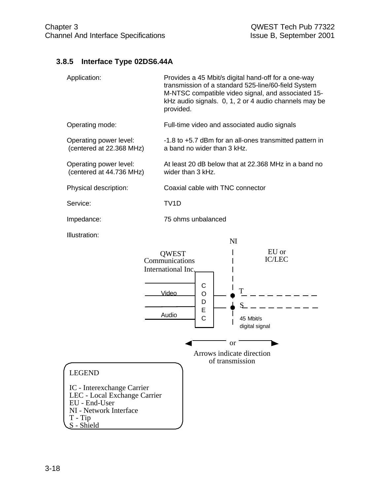# **3.8.5 Interface Type 02DS6.44A**

| Application:                                                                                                                                      | Provides a 45 Mbit/s digital hand-off for a one-way<br>transmission of a standard 525-line/60-field System<br>M-NTSC compatible video signal, and associated 15-<br>kHz audio signals. 0, 1, 2 or 4 audio channels may be<br>provided. |  |  |
|---------------------------------------------------------------------------------------------------------------------------------------------------|----------------------------------------------------------------------------------------------------------------------------------------------------------------------------------------------------------------------------------------|--|--|
| Operating mode:                                                                                                                                   | Full-time video and associated audio signals                                                                                                                                                                                           |  |  |
| Operating power level:<br>(centered at 22.368 MHz)                                                                                                | -1.8 to +5.7 dBm for an all-ones transmitted pattern in<br>a band no wider than 3 kHz.                                                                                                                                                 |  |  |
| Operating power level:<br>(centered at 44.736 MHz)                                                                                                | At least 20 dB below that at 22.368 MHz in a band no<br>wider than 3 kHz.                                                                                                                                                              |  |  |
| Physical description:                                                                                                                             | Coaxial cable with TNC connector                                                                                                                                                                                                       |  |  |
| Service:                                                                                                                                          | TV <sub>1</sub> D                                                                                                                                                                                                                      |  |  |
| Impedance:                                                                                                                                        | 75 ohms unbalanced                                                                                                                                                                                                                     |  |  |
| <b>Illustration:</b>                                                                                                                              | NI<br>EU or<br><b>QWEST</b><br><b>IC/LEC</b><br>Communications<br>International Inc.<br>С<br>Video<br>O<br>D<br>Ε<br>Audio<br>C<br>45 Mbit/s<br>digital signal<br>or<br>Arrows indicate direction                                      |  |  |
| <b>LEGEND</b><br>IC - Interexchange Carrier<br>LEC - Local Exchange Carrier<br>EU - End-User<br>NI - Network Interface<br>$T - Tip$<br>S - Shield | of transmission                                                                                                                                                                                                                        |  |  |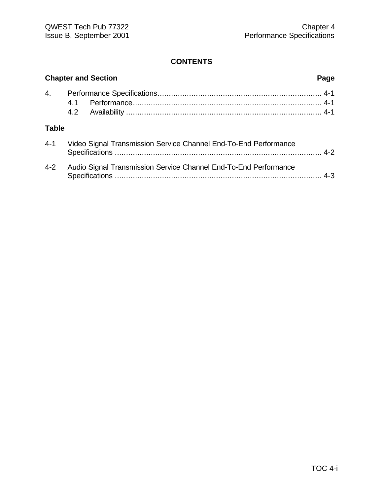|              | <b>Chapter and Section</b>                                       | Page |
|--------------|------------------------------------------------------------------|------|
| 4.           |                                                                  |      |
| <b>Table</b> |                                                                  |      |
| $4 - 1$      | Video Signal Transmission Service Channel End-To-End Performance |      |
| $4 - 2$      | Audio Signal Transmission Service Channel End-To-End Performance |      |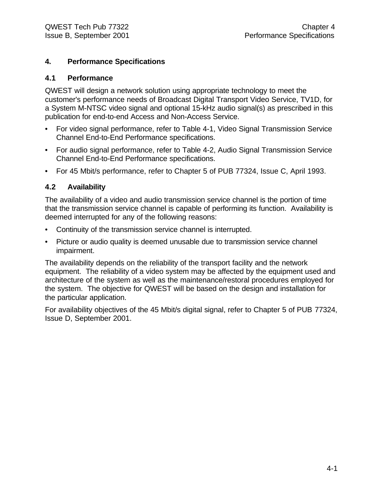#### **4. Performance Specifications**

#### **4.1 Performance**

QWEST will design a network solution using appropriate technology to meet the customer's performance needs of Broadcast Digital Transport Video Service, TV1D, for a System M-NTSC video signal and optional 15-kHz audio signal(s) as prescribed in this publication for end-to-end Access and Non-Access Service.

- For video signal performance, refer to Table 4-1, Video Signal Transmission Service Channel End-to-End Performance specifications.
- For audio signal performance, refer to Table 4-2, Audio Signal Transmission Service Channel End-to-End Performance specifications.
- For 45 Mbit/s performance, refer to Chapter 5 of PUB 77324, Issue C, April 1993.

#### **4.2 Availability**

The availability of a video and audio transmission service channel is the portion of time that the transmission service channel is capable of performing its function. Availability is deemed interrupted for any of the following reasons:

- Continuity of the transmission service channel is interrupted.
- Picture or audio quality is deemed unusable due to transmission service channel impairment.

The availability depends on the reliability of the transport facility and the network equipment. The reliability of a video system may be affected by the equipment used and architecture of the system as well as the maintenance/restoral procedures employed for the system. The objective for QWEST will be based on the design and installation for the particular application.

For availability objectives of the 45 Mbit/s digital signal, refer to Chapter 5 of PUB 77324, Issue D, September 2001.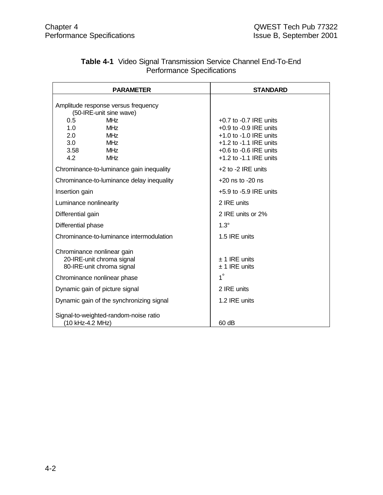| <b>PARAMETER</b>                                                                                                                                                                              | <b>STANDARD</b>                                                                                                                                                              |
|-----------------------------------------------------------------------------------------------------------------------------------------------------------------------------------------------|------------------------------------------------------------------------------------------------------------------------------------------------------------------------------|
| Amplitude response versus frequency<br>(50-IRE-unit sine wave)<br><b>MHz</b><br>0.5<br><b>MHz</b><br>1.0<br>2.0<br><b>MHz</b><br>3.0<br><b>MHz</b><br>3.58<br><b>MHz</b><br>4.2<br><b>MHz</b> | $+0.7$ to $-0.7$ IRE units<br>$+0.9$ to $-0.9$ IRE units<br>$+1.0$ to $-1.0$ IRE units<br>$+1.2$ to $-1.1$ IRE units<br>$+0.6$ to $-0.6$ IRE units<br>+1.2 to -1.1 IRE units |
| Chrominance-to-luminance gain inequality                                                                                                                                                      | +2 to -2 IRE units                                                                                                                                                           |
| Chrominance-to-luminance delay inequality                                                                                                                                                     | $+20$ ns to $-20$ ns                                                                                                                                                         |
| Insertion gain                                                                                                                                                                                | $+5.9$ to $-5.9$ IRE units                                                                                                                                                   |
| Luminance nonlinearity                                                                                                                                                                        | 2 IRE units                                                                                                                                                                  |
| Differential gain                                                                                                                                                                             | 2 IRE units or 2%                                                                                                                                                            |
| Differential phase                                                                                                                                                                            | $1.3^\circ$                                                                                                                                                                  |
| Chrominance-to-luminance intermodulation                                                                                                                                                      | 1.5 IRE units                                                                                                                                                                |
| Chrominance nonlinear gain<br>20-IRE-unit chroma signal<br>80-IRE-unit chroma signal                                                                                                          | $±$ 1 IRE units<br>$±$ 1 IRE units                                                                                                                                           |
| Chrominance nonlinear phase                                                                                                                                                                   | $1^{\circ}$                                                                                                                                                                  |
| Dynamic gain of picture signal                                                                                                                                                                | 2 IRE units                                                                                                                                                                  |
| Dynamic gain of the synchronizing signal                                                                                                                                                      | 1.2 IRE units                                                                                                                                                                |
| Signal-to-weighted-random-noise ratio<br>(10 kHz-4.2 MHz)                                                                                                                                     | 60 dB                                                                                                                                                                        |

### **Table 4-1** Video Signal Transmission Service Channel End-To-End Performance Specifications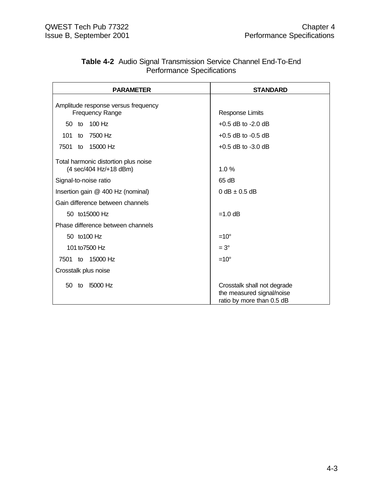|                                   | <b>Table 4-2</b> Audio Signal Transmission Service Channel End-To-End |
|-----------------------------------|-----------------------------------------------------------------------|
| <b>Performance Specifications</b> |                                                                       |

| <b>PARAMETER</b>                                              | <b>STANDARD</b>                                                                       |  |
|---------------------------------------------------------------|---------------------------------------------------------------------------------------|--|
|                                                               |                                                                                       |  |
| Amplitude response versus frequency<br><b>Frequency Range</b> | <b>Response Limits</b>                                                                |  |
| 100 Hz<br>50 to                                               | $+0.5$ dB to $-2.0$ dB                                                                |  |
| 7500 Hz<br>101<br>to                                          | $+0.5$ dB to $-0.5$ dB                                                                |  |
| 7501 to 15000 Hz                                              | $+0.5$ dB to $-3.0$ dB                                                                |  |
| Total harmonic distortion plus noise                          |                                                                                       |  |
| (4 sec/404 Hz/+18 dBm)                                        | 1.0%                                                                                  |  |
| Signal-to-noise ratio                                         | 65 dB                                                                                 |  |
| Insertion gain @ 400 Hz (nominal)                             | $0$ dB $\pm$ 0.5 dB                                                                   |  |
| Gain difference between channels                              |                                                                                       |  |
| 50 to 15000 Hz                                                | $=1.0$ dB                                                                             |  |
| Phase difference between channels                             |                                                                                       |  |
| 50 to 100 Hz                                                  | $=10^{\circ}$                                                                         |  |
| 101 to 7500 Hz                                                | $=3^\circ$                                                                            |  |
| 7501 to 15000 Hz                                              | $=10^{\circ}$                                                                         |  |
| Crosstalk plus noise                                          |                                                                                       |  |
| <b>15000 Hz</b><br>50 to                                      | Crosstalk shall not degrade<br>the measured signal/noise<br>ratio by more than 0.5 dB |  |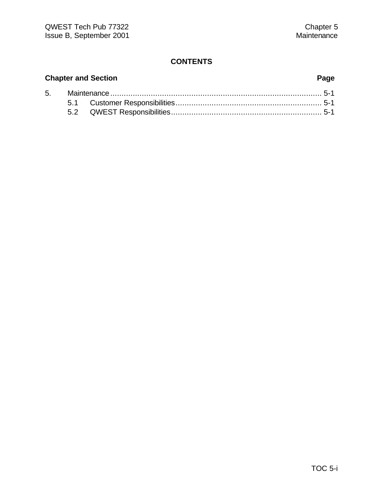# **Chapter and Section Page** 5. Maintenance.............................................................................................. 5-1 5.1 Customer Responsibilities................................................................. 5-1 5.2 QWEST Responsibilities................................................................... 5-1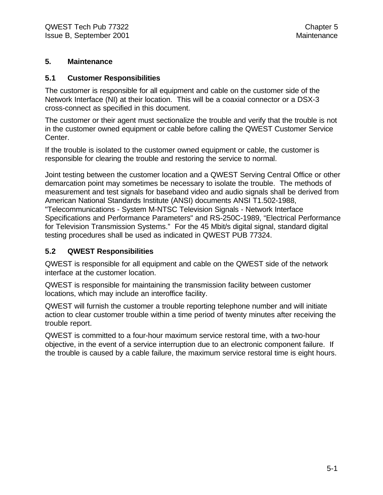#### **5. Maintenance**

#### **5.1 Customer Responsibilities**

The customer is responsible for all equipment and cable on the customer side of the Network Interface (NI) at their location. This will be a coaxial connector or a DSX-3 cross-connect as specified in this document.

The customer or their agent must sectionalize the trouble and verify that the trouble is not in the customer owned equipment or cable before calling the QWEST Customer Service Center.

If the trouble is isolated to the customer owned equipment or cable, the customer is responsible for clearing the trouble and restoring the service to normal.

Joint testing between the customer location and a QWEST Serving Central Office or other demarcation point may sometimes be necessary to isolate the trouble. The methods of measurement and test signals for baseband video and audio signals shall be derived from American National Standards Institute (ANSI) documents ANSI T1.502-1988, "Telecommunications - System M-NTSC Television Signals - Network Interface Specifications and Performance Parameters" and RS-250C-1989, "Electrical Performance for Television Transmission Systems." For the 45 Mbit/s digital signal, standard digital testing procedures shall be used as indicated in QWEST PUB 77324.

#### **5.2 QWEST Responsibilities**

QWEST is responsible for all equipment and cable on the QWEST side of the network interface at the customer location.

QWEST is responsible for maintaining the transmission facility between customer locations, which may include an interoffice facility.

QWEST will furnish the customer a trouble reporting telephone number and will initiate action to clear customer trouble within a time period of twenty minutes after receiving the trouble report.

QWEST is committed to a four-hour maximum service restoral time, with a two-hour objective, in the event of a service interruption due to an electronic component failure. If the trouble is caused by a cable failure, the maximum service restoral time is eight hours.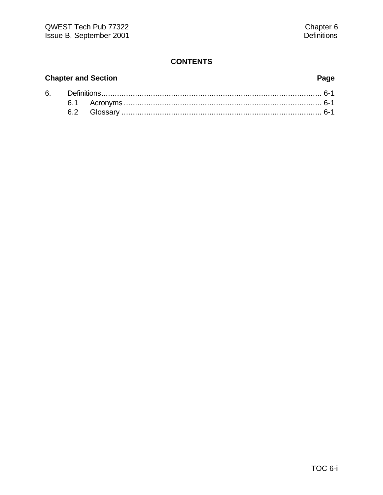# **Chapter and Section Page**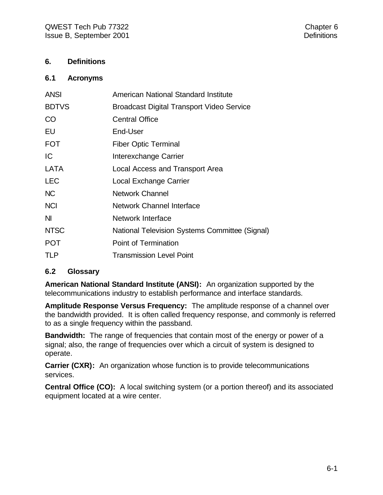#### **6. Definitions**

#### **6.1 Acronyms**

| <b>ANSI</b>  | <b>American National Standard Institute</b>      |
|--------------|--------------------------------------------------|
| <b>BDTVS</b> | <b>Broadcast Digital Transport Video Service</b> |
| <b>CO</b>    | <b>Central Office</b>                            |
| EU           | End-User                                         |
| <b>FOT</b>   | <b>Fiber Optic Terminal</b>                      |
| IC           | Interexchange Carrier                            |
| LATA         | Local Access and Transport Area                  |
| <b>LEC</b>   | Local Exchange Carrier                           |
| <b>NC</b>    | <b>Network Channel</b>                           |
| <b>NCI</b>   | <b>Network Channel Interface</b>                 |
| ΝI           | Network Interface                                |
| <b>NTSC</b>  | National Television Systems Committee (Signal)   |
| <b>POT</b>   | Point of Termination                             |
| <b>TLP</b>   | <b>Transmission Level Point</b>                  |

#### **6.2 Glossary**

**American National Standard Institute (ANSI):** An organization supported by the telecommunications industry to establish performance and interface standards.

**Amplitude Response Versus Frequency:** The amplitude response of a channel over the bandwidth provided. It is often called frequency response, and commonly is referred to as a single frequency within the passband.

**Bandwidth:** The range of frequencies that contain most of the energy or power of a signal; also, the range of frequencies over which a circuit of system is designed to operate.

**Carrier (CXR):** An organization whose function is to provide telecommunications services.

**Central Office (CO):** A local switching system (or a portion thereof) and its associated equipment located at a wire center.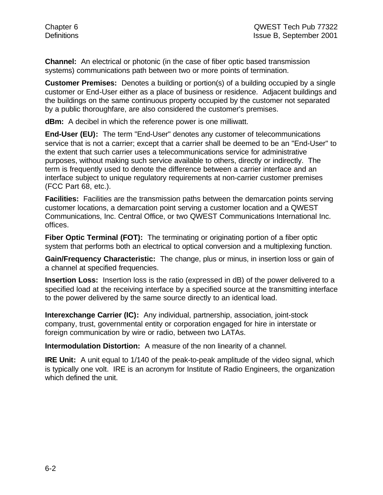**Channel:** An electrical or photonic (in the case of fiber optic based transmission systems) communications path between two or more points of termination.

**Customer Premises:** Denotes a building or portion(s) of a building occupied by a single customer or End-User either as a place of business or residence. Adjacent buildings and the buildings on the same continuous property occupied by the customer not separated by a public thoroughfare, are also considered the customer's premises.

**dBm:** A decibel in which the reference power is one milliwatt.

**End-User (EU):** The term "End-User" denotes any customer of telecommunications service that is not a carrier; except that a carrier shall be deemed to be an "End-User" to the extent that such carrier uses a telecommunications service for administrative purposes, without making such service available to others, directly or indirectly. The term is frequently used to denote the difference between a carrier interface and an interface subject to unique regulatory requirements at non-carrier customer premises (FCC Part 68, etc.).

**Facilities:** Facilities are the transmission paths between the demarcation points serving customer locations, a demarcation point serving a customer location and a QWEST Communications, Inc. Central Office, or two QWEST Communications International Inc. offices.

**Fiber Optic Terminal (FOT):** The terminating or originating portion of a fiber optic system that performs both an electrical to optical conversion and a multiplexing function.

**Gain/Frequency Characteristic:** The change, plus or minus, in insertion loss or gain of a channel at specified frequencies.

**Insertion Loss:** Insertion loss is the ratio (expressed in dB) of the power delivered to a specified load at the receiving interface by a specified source at the transmitting interface to the power delivered by the same source directly to an identical load.

**Interexchange Carrier (IC):** Any individual, partnership, association, joint-stock company, trust, governmental entity or corporation engaged for hire in interstate or foreign communication by wire or radio, between two LATAs.

**Intermodulation Distortion:** A measure of the non linearity of a channel.

**IRE Unit:** A unit equal to 1/140 of the peak-to-peak amplitude of the video signal, which is typically one volt. IRE is an acronym for Institute of Radio Engineers, the organization which defined the unit.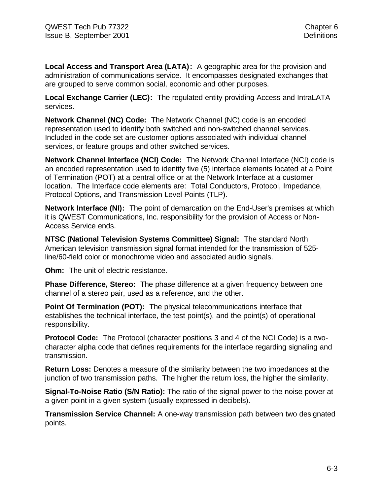**Local Access and Transport Area (LATA):** A geographic area for the provision and administration of communications service. It encompasses designated exchanges that are grouped to serve common social, economic and other purposes.

**Local Exchange Carrier (LEC):** The regulated entity providing Access and IntraLATA services.

**Network Channel (NC) Code:** The Network Channel (NC) code is an encoded representation used to identify both switched and non-switched channel services. Included in the code set are customer options associated with individual channel services, or feature groups and other switched services.

**Network Channel Interface (NCI) Code:** The Network Channel Interface (NCI) code is an encoded representation used to identify five (5) interface elements located at a Point of Termination (POT) at a central office or at the Network Interface at a customer location. The Interface code elements are: Total Conductors, Protocol, Impedance, Protocol Options, and Transmission Level Points (TLP).

**Network Interface (NI):** The point of demarcation on the End-User's premises at which it is QWEST Communications, Inc. responsibility for the provision of Access or Non-Access Service ends.

**NTSC (National Television Systems Committee) Signal:** The standard North American television transmission signal format intended for the transmission of 525 line/60-field color or monochrome video and associated audio signals.

**Ohm:** The unit of electric resistance.

**Phase Difference, Stereo:** The phase difference at a given frequency between one channel of a stereo pair, used as a reference, and the other.

**Point Of Termination (POT):** The physical telecommunications interface that establishes the technical interface, the test point(s), and the point(s) of operational responsibility.

**Protocol Code:** The Protocol (character positions 3 and 4 of the NCI Code) is a twocharacter alpha code that defines requirements for the interface regarding signaling and transmission.

**Return Loss:** Denotes a measure of the similarity between the two impedances at the junction of two transmission paths. The higher the return loss, the higher the similarity.

**Signal-To-Noise Ratio (S/N Ratio):** The ratio of the signal power to the noise power at a given point in a given system (usually expressed in decibels).

**Transmission Service Channel:** A one-way transmission path between two designated points.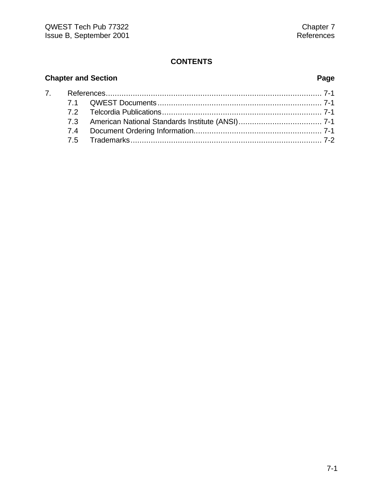# **Chapter and Section Page**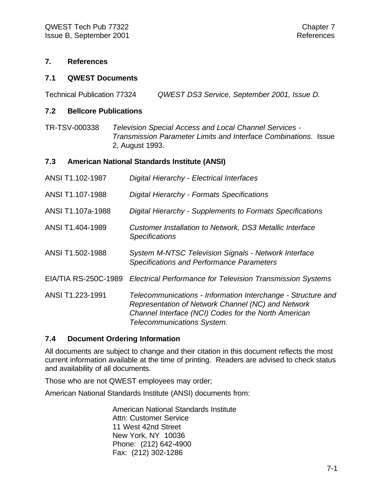#### **7. References**

#### **7.1 QWEST Documents**

Technical Publication 77324 *QWEST DS3 Service, September 2001, Issue D.*

#### **7.2 Bellcore Publications**

TR-TSV-000338 *Television Special Access and Local Channel Services - Transmission Parameter Limits and Interface Combinations*. Issue 2, August 1993.

#### **7.3 American National Standards Institute (ANSI)**

| ANSI T1.102-1987     | Digital Hierarchy - Electrical Interfaces                                                                                                                                                                |
|----------------------|----------------------------------------------------------------------------------------------------------------------------------------------------------------------------------------------------------|
| ANSI T1.107-1988     | Digital Hierarchy - Formats Specifications                                                                                                                                                               |
| ANSI T1.107a-1988    | Digital Hierarchy - Supplements to Formats Specifications                                                                                                                                                |
| ANSI T1.404-1989     | Customer Installation to Network, DS3 Metallic Interface<br><b>Specifications</b>                                                                                                                        |
| ANSI T1.502-1988     | <b>System M-NTSC Television Signals - Network Interface</b><br><b>Specifications and Performance Parameters</b>                                                                                          |
| EIA/TIA RS-250C-1989 | <b>Electrical Performance for Television Transmission Systems</b>                                                                                                                                        |
| ANSI T1.223-1991     | Telecommunications - Information Interchange - Structure and<br>Representation of Network Channel (NC) and Network<br>Channel Interface (NCI) Codes for the North American<br>Telecommunications System. |

#### **7.4 Document Ordering Information**

All documents are subject to change and their citation in this document reflects the most current information available at the time of printing. Readers are advised to check status and availability of all documents.

Those who are not QWEST employees may order;

American National Standards Institute (ANSI) documents from:

American National Standards Institute Attn: Customer Service 11 West 42nd Street New York, NY 10036 Phone: (212) 642-4900 Fax: (212) 302-1286